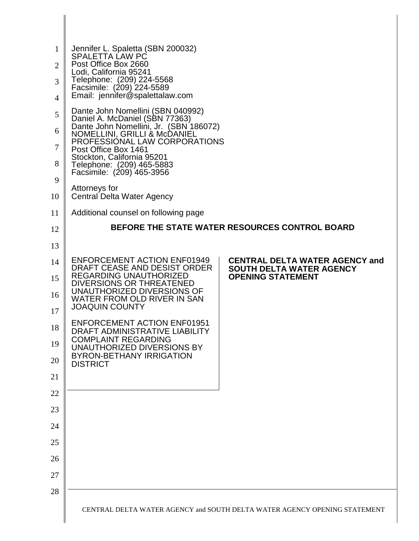| 1<br>$\overline{2}$<br>3<br>4<br>5<br>6<br>$\boldsymbol{7}$<br>8 | Jennifer L. Spaletta (SBN 200032)<br><b>SPALETTA LAW PC</b><br>Post Office Box 2660<br>Lodi, California 95241<br>Telephone: (209) 224-5568<br>Facsimile: (209) 224-5589<br>Email: jennifer@spalettalaw.com<br>Dante John Nomellini (SBN 040992)<br>Daniel A. McDaniel (SBN 77363)<br>Dante John Nomellini, Jr. (SBN 186072)<br>NOMELLINI, GRILLI & McDANIEL<br>PROFESSIONAL LAW CORPORATIONS<br>Post Office Box 1461<br>Stockton, California 95201<br>Telephone: (209) 465-5883 |                                                             |
|------------------------------------------------------------------|---------------------------------------------------------------------------------------------------------------------------------------------------------------------------------------------------------------------------------------------------------------------------------------------------------------------------------------------------------------------------------------------------------------------------------------------------------------------------------|-------------------------------------------------------------|
|                                                                  | Facsimile: (209) 465-3956                                                                                                                                                                                                                                                                                                                                                                                                                                                       |                                                             |
| 9<br>10                                                          | Attorneys for<br>Central Delta Water Agency                                                                                                                                                                                                                                                                                                                                                                                                                                     |                                                             |
| 11                                                               | Additional counsel on following page                                                                                                                                                                                                                                                                                                                                                                                                                                            |                                                             |
| 12                                                               | <b>BEFORE THE STATE WATER RESOURCES CONTROL BOARD</b>                                                                                                                                                                                                                                                                                                                                                                                                                           |                                                             |
| 13                                                               |                                                                                                                                                                                                                                                                                                                                                                                                                                                                                 |                                                             |
| 14                                                               | <b>ENFORCEMENT ACTION ENF01949</b>                                                                                                                                                                                                                                                                                                                                                                                                                                              | <b>CENTRAL DELTA WATER AGENCY and</b>                       |
| 15                                                               | DRAFT CEASE AND DESIST ORDER<br>REGARDING UNAUTHORIZED                                                                                                                                                                                                                                                                                                                                                                                                                          | <b>SOUTH DELTA WATER AGENCY</b><br><b>OPENING STATEMENT</b> |
|                                                                  | DIVERSIONS OR THREATENED<br>UNAUTHORIZED DIVERSIONS OF                                                                                                                                                                                                                                                                                                                                                                                                                          |                                                             |
| 16                                                               | WATER FROM OLD RIVER IN SAN<br><b>JOAQUIN COUNTY</b>                                                                                                                                                                                                                                                                                                                                                                                                                            |                                                             |
| 17                                                               |                                                                                                                                                                                                                                                                                                                                                                                                                                                                                 |                                                             |
| 18                                                               | <b>ENFORCEMENT ACTION ENF01951</b><br>DRAFT ADMINISTRATIVE LIABILITY                                                                                                                                                                                                                                                                                                                                                                                                            |                                                             |
| 19                                                               | <b>COMPLAINT REGARDING</b><br>UNAUTHORIZED DIVERSIONS BY                                                                                                                                                                                                                                                                                                                                                                                                                        |                                                             |
| 20                                                               | <b>BYRON-BETHANY IRRIGATION</b><br><b>DISTRICT</b>                                                                                                                                                                                                                                                                                                                                                                                                                              |                                                             |
| 21                                                               |                                                                                                                                                                                                                                                                                                                                                                                                                                                                                 |                                                             |
| 22                                                               |                                                                                                                                                                                                                                                                                                                                                                                                                                                                                 |                                                             |
| 23                                                               |                                                                                                                                                                                                                                                                                                                                                                                                                                                                                 |                                                             |
| 24                                                               |                                                                                                                                                                                                                                                                                                                                                                                                                                                                                 |                                                             |
| 25                                                               |                                                                                                                                                                                                                                                                                                                                                                                                                                                                                 |                                                             |
| 26                                                               |                                                                                                                                                                                                                                                                                                                                                                                                                                                                                 |                                                             |
| 27                                                               |                                                                                                                                                                                                                                                                                                                                                                                                                                                                                 |                                                             |
| 28                                                               |                                                                                                                                                                                                                                                                                                                                                                                                                                                                                 |                                                             |
|                                                                  | CENTRAL DELTA WATER AGENCY and SOUTH DELTA WATER AGENCY OPENING STATEMENT                                                                                                                                                                                                                                                                                                                                                                                                       |                                                             |

∥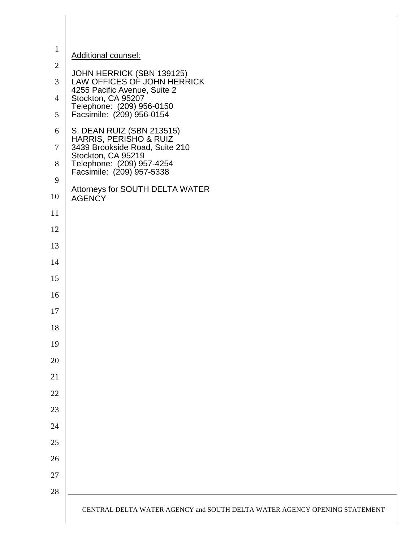| $\mathbf{1}$   | Additional counsel:                                                                      |
|----------------|------------------------------------------------------------------------------------------|
| $\overline{2}$ |                                                                                          |
| 3              | JOHN HERRICK (SBN 139125)<br>LAW OFFICES OF JOHN HERRICK<br>4255 Pacific Avenue, Suite 2 |
| $\overline{4}$ | Stockton, CA 95207<br>Telephone: (209) 956-0150                                          |
| 5              | Facsimile: (209) 956-0154                                                                |
| 6              | S. DEAN RUIZ (SBN 213515)<br>HARRIS, PERISHO & RUIZ                                      |
| $\tau$         | 3439 Brookside Road, Suite 210<br>Stockton, CA 95219                                     |
| 8              | Telephone: (209) 957-4254<br>Facsimile: (209) 957-5338                                   |
| 9              | Attorneys for SOUTH DELTA WATER                                                          |
| 10             | <b>AGENCY</b>                                                                            |
| 11             |                                                                                          |
| 12             |                                                                                          |
| 13             |                                                                                          |
| 14             |                                                                                          |
| 15             |                                                                                          |
| 16             |                                                                                          |
| 17             |                                                                                          |
| 18             |                                                                                          |
| 19             |                                                                                          |
| 20             |                                                                                          |
| 21             |                                                                                          |
| 22             |                                                                                          |
| 23             |                                                                                          |
| 24             |                                                                                          |
| 25             |                                                                                          |
| 26             |                                                                                          |
| 27             |                                                                                          |
| 28             |                                                                                          |
|                | CENTRAL DELTA WATER AGENCY and SOUTH DELTA WATER AGENCY OPENING STATEMENT                |

II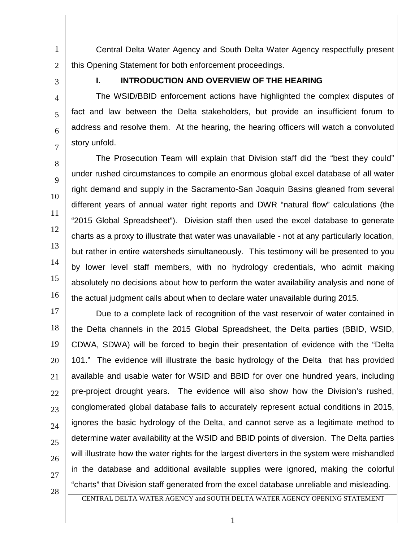1 2 Central Delta Water Agency and South Delta Water Agency respectfully present this Opening Statement for both enforcement proceedings.

3

4

5

6

7

8

9

10

11

12

13

14

15

16

## **I. INTRODUCTION AND OVERVIEW OF THE HEARING**

The WSID/BBID enforcement actions have highlighted the complex disputes of fact and law between the Delta stakeholders, but provide an insufficient forum to address and resolve them. At the hearing, the hearing officers will watch a convoluted story unfold.

The Prosecution Team will explain that Division staff did the "best they could" under rushed circumstances to compile an enormous global excel database of all water right demand and supply in the Sacramento-San Joaquin Basins gleaned from several different years of annual water right reports and DWR "natural flow" calculations (the "2015 Global Spreadsheet"). Division staff then used the excel database to generate charts as a proxy to illustrate that water was unavailable - not at any particularly location, but rather in entire watersheds simultaneously. This testimony will be presented to you by lower level staff members, with no hydrology credentials, who admit making absolutely no decisions about how to perform the water availability analysis and none of the actual judgment calls about when to declare water unavailable during 2015.

17 18 19 20 21 22 23 24 25 26 27 Due to a complete lack of recognition of the vast reservoir of water contained in the Delta channels in the 2015 Global Spreadsheet, the Delta parties (BBID, WSID, CDWA, SDWA) will be forced to begin their presentation of evidence with the "Delta 101." The evidence will illustrate the basic hydrology of the Delta that has provided available and usable water for WSID and BBID for over one hundred years, including pre-project drought years. The evidence will also show how the Division's rushed, conglomerated global database fails to accurately represent actual conditions in 2015, ignores the basic hydrology of the Delta, and cannot serve as a legitimate method to determine water availability at the WSID and BBID points of diversion. The Delta parties will illustrate how the water rights for the largest diverters in the system were mishandled in the database and additional available supplies were ignored, making the colorful "charts" that Division staff generated from the excel database unreliable and misleading.

28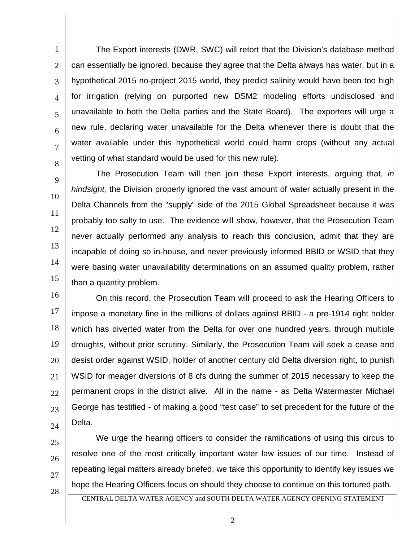1 2 3 4 5 6 7 8 The Export interests (DWR, SWC) will retort that the Division's database method can essentially be ignored, because they agree that the Delta always has water, but in a hypothetical 2015 no-project 2015 world, they predict salinity would have been too high for irrigation (relying on purported new DSM2 modeling efforts undisclosed and unavailable to both the Delta parties and the State Board). The exporters will urge a new rule, declaring water unavailable for the Delta whenever there is doubt that the water available under this hypothetical world could harm crops (without any actual vetting of what standard would be used for this new rule).

14 The Prosecution Team will then join these Export interests, arguing that, *in hindsight,* the Division properly ignored the vast amount of water actually present in the Delta Channels from the "supply" side of the 2015 Global Spreadsheet because it was probably too salty to use. The evidence will show, however, that the Prosecution Team never actually performed any analysis to reach this conclusion, admit that they are incapable of doing so in-house, and never previously informed BBID or WSID that they were basing water unavailability determinations on an assumed quality problem, rather than a quantity problem.

16 17 18 19 20 21 22 23 24 On this record, the Prosecution Team will proceed to ask the Hearing Officers to impose a monetary fine in the millions of dollars against BBID - a pre-1914 right holder which has diverted water from the Delta for over one hundred years, through multiple droughts, without prior scrutiny. Similarly, the Prosecution Team will seek a cease and desist order against WSID, holder of another century old Delta diversion right, to punish WSID for meager diversions of 8 cfs during the summer of 2015 necessary to keep the permanent crops in the district alive. All in the name - as Delta Watermaster Michael George has testified - of making a good "test case" to set precedent for the future of the Delta.

25

26

27

28

9

10

11

12

13

15

We urge the hearing officers to consider the ramifications of using this circus to resolve one of the most critically important water law issues of our time. Instead of repeating legal matters already briefed, we take this opportunity to identify key issues we hope the Hearing Officers focus on should they choose to continue on this tortured path.

CENTRAL DELTA WATER AGENCY and SOUTH DELTA WATER AGENCY OPENING STATEMENT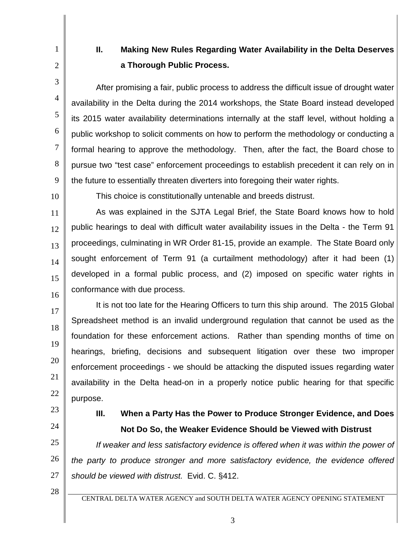## **II. Making New Rules Regarding Water Availability in the Delta Deserves a Thorough Public Process.**

After promising a fair, public process to address the difficult issue of drought water availability in the Delta during the 2014 workshops, the State Board instead developed its 2015 water availability determinations internally at the staff level, without holding a public workshop to solicit comments on how to perform the methodology or conducting a formal hearing to approve the methodology. Then, after the fact, the Board chose to pursue two "test case" enforcement proceedings to establish precedent it can rely on in the future to essentially threaten diverters into foregoing their water rights.

10

1

2

3

4

5

6

7

8

9

This choice is constitutionally untenable and breeds distrust.

11 12 13 14 15 16 As was explained in the SJTA Legal Brief, the State Board knows how to hold public hearings to deal with difficult water availability issues in the Delta - the Term 91 proceedings, culminating in WR Order 81-15, provide an example. The State Board only sought enforcement of Term 91 (a curtailment methodology) after it had been (1) developed in a formal public process, and (2) imposed on specific water rights in conformance with due process.

17 18 19 20 21 22 It is not too late for the Hearing Officers to turn this ship around. The 2015 Global Spreadsheet method is an invalid underground regulation that cannot be used as the foundation for these enforcement actions. Rather than spending months of time on hearings, briefing, decisions and subsequent litigation over these two improper enforcement proceedings - we should be attacking the disputed issues regarding water availability in the Delta head-on in a properly notice public hearing for that specific purpose.

23

24

## **III. When a Party Has the Power to Produce Stronger Evidence, and Does Not Do So, the Weaker Evidence Should be Viewed with Distrust**

25 26 27 *If weaker and less satisfactory evidence is offered when it was within the power of the party to produce stronger and more satisfactory evidence, the evidence offered should be viewed with distrust.* Evid. C. §412.

28

CENTRAL DELTA WATER AGENCY and SOUTH DELTA WATER AGENCY OPENING STATEMENT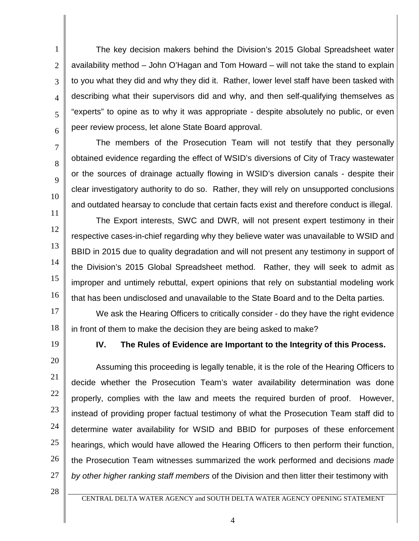1 2 3 4 5 6 The key decision makers behind the Division's 2015 Global Spreadsheet water availability method – John O'Hagan and Tom Howard – will not take the stand to explain to you what they did and why they did it. Rather, lower level staff have been tasked with describing what their supervisors did and why, and then self-qualifying themselves as "experts" to opine as to why it was appropriate - despite absolutely no public, or even peer review process, let alone State Board approval.

7 8

9

10

11

12

The members of the Prosecution Team will not testify that they personally obtained evidence regarding the effect of WSID's diversions of City of Tracy wastewater or the sources of drainage actually flowing in WSID's diversion canals - despite their clear investigatory authority to do so. Rather, they will rely on unsupported conclusions and outdated hearsay to conclude that certain facts exist and therefore conduct is illegal.

13 14 15 16 The Export interests, SWC and DWR, will not present expert testimony in their respective cases-in-chief regarding why they believe water was unavailable to WSID and BBID in 2015 due to quality degradation and will not present any testimony in support of the Division's 2015 Global Spreadsheet method. Rather, they will seek to admit as improper and untimely rebuttal, expert opinions that rely on substantial modeling work that has been undisclosed and unavailable to the State Board and to the Delta parties.

17 18 We ask the Hearing Officers to critically consider - do they have the right evidence in front of them to make the decision they are being asked to make?

19

**IV. The Rules of Evidence are Important to the Integrity of this Process.**

20 21 22 23 24 25 26 27 Assuming this proceeding is legally tenable, it is the role of the Hearing Officers to decide whether the Prosecution Team's water availability determination was done properly, complies with the law and meets the required burden of proof. However, instead of providing proper factual testimony of what the Prosecution Team staff did to determine water availability for WSID and BBID for purposes of these enforcement hearings, which would have allowed the Hearing Officers to then perform their function, the Prosecution Team witnesses summarized the work performed and decisions *made by other higher ranking staff members* of the Division and then litter their testimony with

28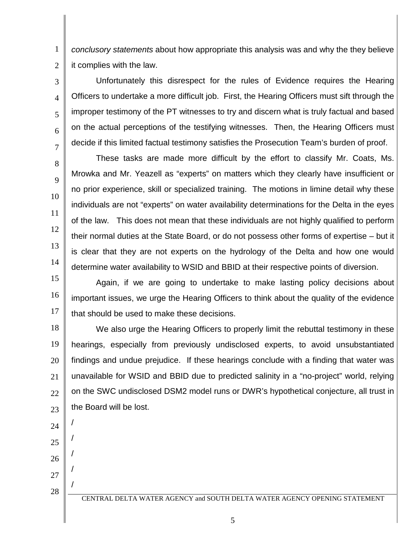1 2 *conclusory statements* about how appropriate this analysis was and why the they believe it complies with the law.

Unfortunately this disrespect for the rules of Evidence requires the Hearing Officers to undertake a more difficult job. First, the Hearing Officers must sift through the improper testimony of the PT witnesses to try and discern what is truly factual and based on the actual perceptions of the testifying witnesses. Then, the Hearing Officers must decide if this limited factual testimony satisfies the Prosecution Team's burden of proof.

These tasks are made more difficult by the effort to classify Mr. Coats, Ms. Mrowka and Mr. Yeazell as "experts" on matters which they clearly have insufficient or no prior experience, skill or specialized training. The motions in limine detail why these individuals are not "experts" on water availability determinations for the Delta in the eyes of the law. This does not mean that these individuals are not highly qualified to perform their normal duties at the State Board, or do not possess other forms of expertise – but it is clear that they are not experts on the hydrology of the Delta and how one would determine water availability to WSID and BBID at their respective points of diversion.

15 16 17 Again, if we are going to undertake to make lasting policy decisions about important issues, we urge the Hearing Officers to think about the quality of the evidence that should be used to make these decisions.

18 19 20 21 22 23 We also urge the Hearing Officers to properly limit the rebuttal testimony in these hearings, especially from previously undisclosed experts, to avoid unsubstantiated findings and undue prejudice. If these hearings conclude with a finding that water was unavailable for WSID and BBID due to predicted salinity in a "no-project" world, relying on the SWC undisclosed DSM2 model runs or DWR's hypothetical conjecture, all trust in the Board will be lost.

24 25 /

/

/

/

/

3

4

5

6

7

8

9

10

11

12

13

14

26

27

28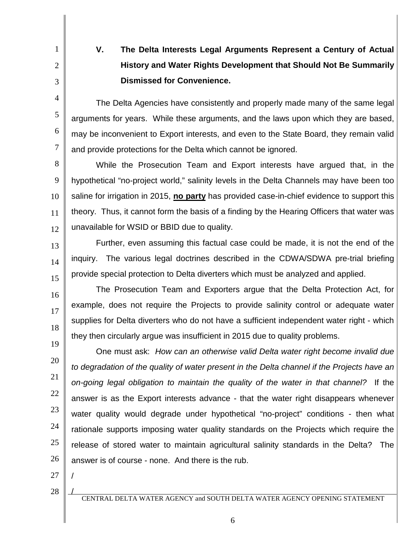**V. The Delta Interests Legal Arguments Represent a Century of Actual History and Water Rights Development that Should Not Be Summarily Dismissed for Convenience.**

The Delta Agencies have consistently and properly made many of the same legal arguments for years. While these arguments, and the laws upon which they are based, may be inconvenient to Export interests, and even to the State Board, they remain valid and provide protections for the Delta which cannot be ignored.

8 9 10 11 12 While the Prosecution Team and Export interests have argued that, in the hypothetical "no-project world," salinity levels in the Delta Channels may have been too saline for irrigation in 2015, **no party** has provided case-in-chief evidence to support this theory. Thus, it cannot form the basis of a finding by the Hearing Officers that water was unavailable for WSID or BBID due to quality.

13 14 15 Further, even assuming this factual case could be made, it is not the end of the inquiry. The various legal doctrines described in the CDWA/SDWA pre-trial briefing provide special protection to Delta diverters which must be analyzed and applied.

The Prosecution Team and Exporters argue that the Delta Protection Act, for example, does not require the Projects to provide salinity control or adequate water supplies for Delta diverters who do not have a sufficient independent water right - which they then circularly argue was insufficient in 2015 due to quality problems.

19 20 21 22 23 24 25 26 One must ask: *How can an otherwise valid Delta water right become invalid due to degradation of the quality of water present in the Delta channel if the Projects have an on-going legal obligation to maintain the quality of the water in that channel?* If the answer is as the Export interests advance - that the water right disappears whenever water quality would degrade under hypothetical "no-project" conditions - then what rationale supports imposing water quality standards on the Projects which require the release of stored water to maintain agricultural salinity standards in the Delta? The answer is of course - none. And there is the rub.

27

/

/

1

2

3

4

5

6

7

16

17

18

28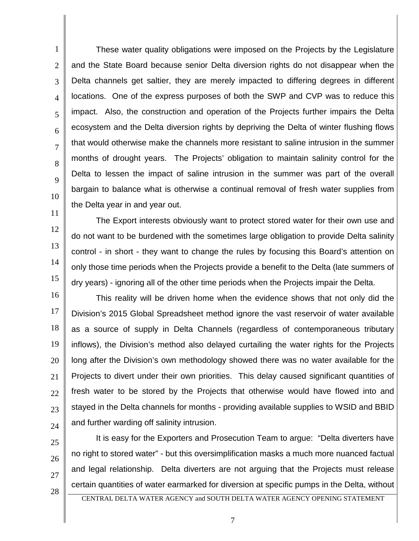1 2 3 4 5 6 7 8 9 10 11 These water quality obligations were imposed on the Projects by the Legislature and the State Board because senior Delta diversion rights do not disappear when the Delta channels get saltier, they are merely impacted to differing degrees in different locations. One of the express purposes of both the SWP and CVP was to reduce this impact. Also, the construction and operation of the Projects further impairs the Delta ecosystem and the Delta diversion rights by depriving the Delta of winter flushing flows that would otherwise make the channels more resistant to saline intrusion in the summer months of drought years. The Projects' obligation to maintain salinity control for the Delta to lessen the impact of saline intrusion in the summer was part of the overall bargain to balance what is otherwise a continual removal of fresh water supplies from the Delta year in and year out.

12 13 14 15 The Export interests obviously want to protect stored water for their own use and do not want to be burdened with the sometimes large obligation to provide Delta salinity control - in short - they want to change the rules by focusing this Board's attention on only those time periods when the Projects provide a benefit to the Delta (late summers of dry years) - ignoring all of the other time periods when the Projects impair the Delta.

16 17 18 19 20 21 22 23 24 This reality will be driven home when the evidence shows that not only did the Division's 2015 Global Spreadsheet method ignore the vast reservoir of water available as a source of supply in Delta Channels (regardless of contemporaneous tributary inflows), the Division's method also delayed curtailing the water rights for the Projects long after the Division's own methodology showed there was no water available for the Projects to divert under their own priorities. This delay caused significant quantities of fresh water to be stored by the Projects that otherwise would have flowed into and stayed in the Delta channels for months - providing available supplies to WSID and BBID and further warding off salinity intrusion.

25

26

27

It is easy for the Exporters and Prosecution Team to argue: "Delta diverters have no right to stored water" - but this oversimplification masks a much more nuanced factual and legal relationship. Delta diverters are not arguing that the Projects must release certain quantities of water earmarked for diversion at specific pumps in the Delta, without

28

CENTRAL DELTA WATER AGENCY and SOUTH DELTA WATER AGENCY OPENING STATEMENT